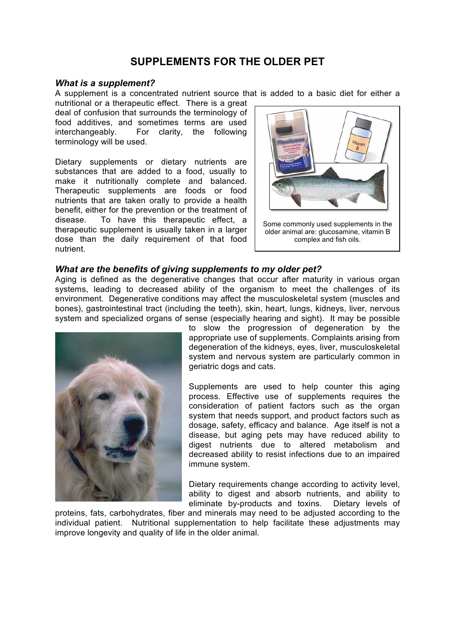# **SUPPLEMENTS FOR THE OLDER PET**

### *What is a supplement?*

A supplement is a concentrated nutrient source that is added to a basic diet for either a

nutritional or a therapeutic effect. There is a great deal of confusion that surrounds the terminology of food additives, and sometimes terms are used interchangeably. For clarity, the following terminology will be used.

Dietary supplements or dietary nutrients are substances that are added to a food, usually to make it nutritionally complete and balanced. Therapeutic supplements are foods or food nutrients that are taken orally to provide a health benefit, either for the prevention or the treatment of disease. To have this therapeutic effect, a therapeutic supplement is usually taken in a larger dose than the daily requirement of that food nutrient.



Some commonly used supplements in the older animal are: glucosamine, vitamin B complex and fish oils.

# *What are the benefits of giving supplements to my older pet?*

Aging is defined as the degenerative changes that occur after maturity in various organ systems, leading to decreased ability of the organism to meet the challenges of its environment. Degenerative conditions may affect the musculoskeletal system (muscles and bones), gastrointestinal tract (including the teeth), skin, heart, lungs, kidneys, liver, nervous system and specialized organs of sense (especially hearing and sight). It may be possible



to slow the progression of degeneration by the appropriate use of supplements. Complaints arising from degeneration of the kidneys, eyes, liver, musculoskeletal system and nervous system are particularly common in geriatric dogs and cats.

Supplements are used to help counter this aging process. Effective use of supplements requires the consideration of patient factors such as the organ system that needs support, and product factors such as dosage, safety, efficacy and balance. Age itself is not a disease, but aging pets may have reduced ability to digest nutrients due to altered metabolism and decreased ability to resist infections due to an impaired immune system.

Dietary requirements change according to activity level, ability to digest and absorb nutrients, and ability to eliminate by-products and toxins. Dietary levels of

proteins, fats, carbohydrates, fiber and minerals may need to be adjusted according to the individual patient. Nutritional supplementation to help facilitate these adjustments may improve longevity and quality of life in the older animal.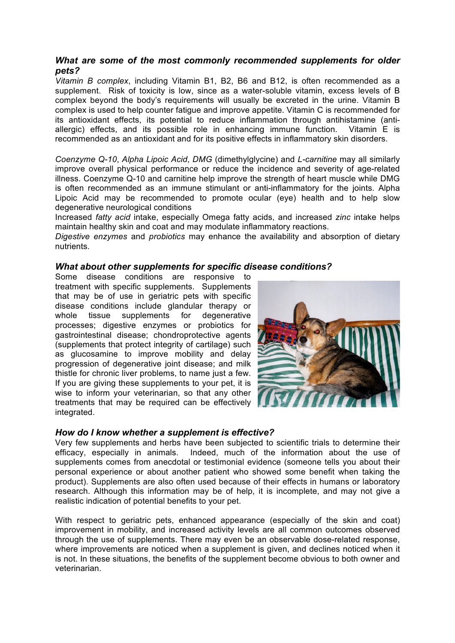# *What are some of the most commonly recommended supplements for older pets?*

*Vitamin B complex*, including Vitamin B1, B2, B6 and B12, is often recommended as a supplement. Risk of toxicity is low, since as a water-soluble vitamin, excess levels of B complex beyond the body's requirements will usually be excreted in the urine. Vitamin B complex is used to help counter fatigue and improve appetite. Vitamin C is recommended for its antioxidant effects, its potential to reduce inflammation through antihistamine (antiallergic) effects, and its possible role in enhancing immune function. Vitamin E is recommended as an antioxidant and for its positive effects in inflammatory skin disorders.

*Coenzyme Q-10*, *Alpha Lipoic Acid*, *DMG* (dimethylglycine) and *L-carnitine* may all similarly improve overall physical performance or reduce the incidence and severity of age-related illness. Coenzyme Q-10 and carnitine help improve the strength of heart muscle while DMG is often recommended as an immune stimulant or anti-inflammatory for the joints. Alpha Lipoic Acid may be recommended to promote ocular (eye) health and to help slow degenerative neurological conditions

Increased *fatty acid* intake, especially Omega fatty acids, and increased *zinc* intake helps maintain healthy skin and coat and may modulate inflammatory reactions.

*Digestive enzymes* and *probiotics* may enhance the availability and absorption of dietary nutrients.

### *What about other supplements for specific disease conditions?*

Some disease conditions are responsive to treatment with specific supplements. Supplements that may be of use in geriatric pets with specific disease conditions include glandular therapy or whole tissue supplements for degenerative processes; digestive enzymes or probiotics for gastrointestinal disease; chondroprotective agents (supplements that protect integrity of cartilage) such as glucosamine to improve mobility and delay progression of degenerative joint disease; and milk thistle for chronic liver problems, to name just a few. If you are giving these supplements to your pet, it is wise to inform your veterinarian, so that any other treatments that may be required can be effectively integrated.



# *How do I know whether a supplement is effective?*

Very few supplements and herbs have been subjected to scientific trials to determine their efficacy, especially in animals. Indeed, much of the information about the use of supplements comes from anecdotal or testimonial evidence (someone tells you about their personal experience or about another patient who showed some benefit when taking the product). Supplements are also often used because of their effects in humans or laboratory research. Although this information may be of help, it is incomplete, and may not give a realistic indication of potential benefits to your pet.

With respect to geriatric pets, enhanced appearance (especially of the skin and coat) improvement in mobility, and increased activity levels are all common outcomes observed through the use of supplements. There may even be an observable dose-related response, where improvements are noticed when a supplement is given, and declines noticed when it is not. In these situations, the benefits of the supplement become obvious to both owner and veterinarian.